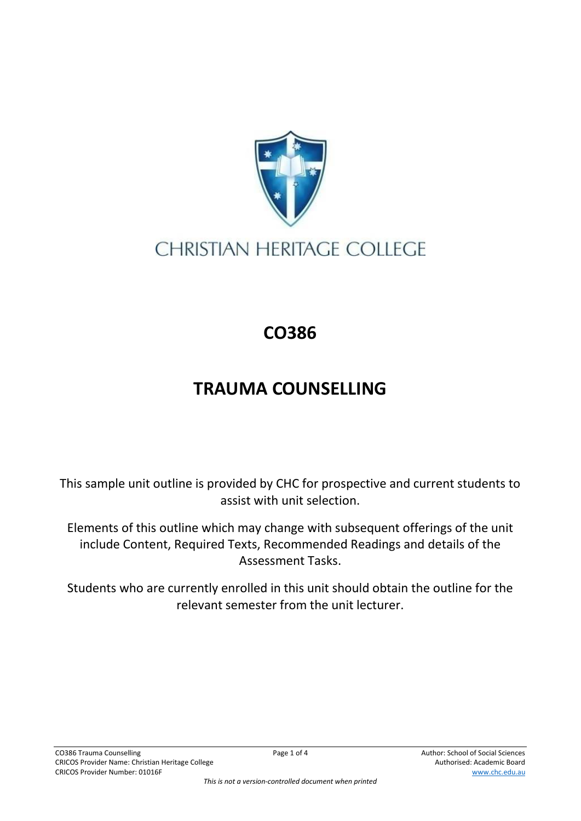

## **CHRISTIAN HERITAGE COLLEGE**

## **CO386**

## **TRAUMA COUNSELLING**

This sample unit outline is provided by CHC for prospective and current students to assist with unit selection.

Elements of this outline which may change with subsequent offerings of the unit include Content, Required Texts, Recommended Readings and details of the Assessment Tasks.

Students who are currently enrolled in this unit should obtain the outline for the relevant semester from the unit lecturer.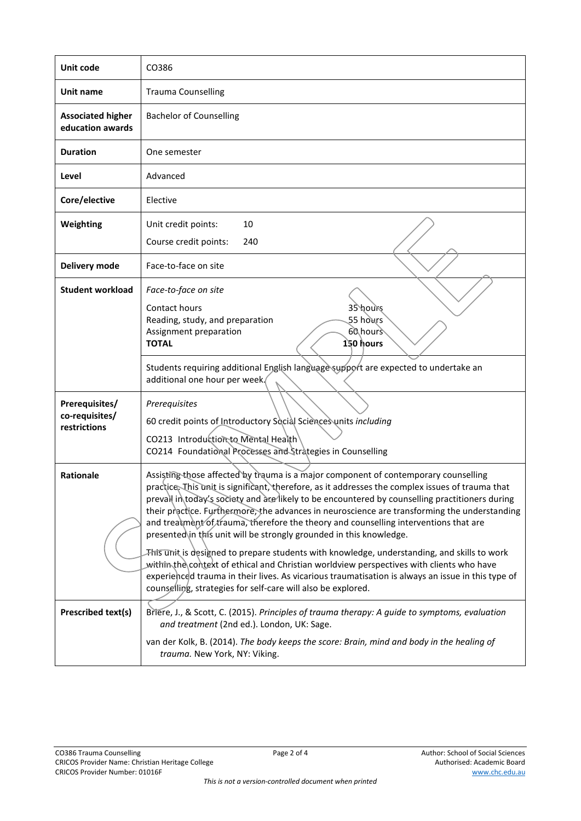| Unit code                                        | CO386                                                                                                                                                                                                                                                                                                                                                                                                                                                                                                                                                                                                                                                                                                                                                                                                                                                                                                                     |
|--------------------------------------------------|---------------------------------------------------------------------------------------------------------------------------------------------------------------------------------------------------------------------------------------------------------------------------------------------------------------------------------------------------------------------------------------------------------------------------------------------------------------------------------------------------------------------------------------------------------------------------------------------------------------------------------------------------------------------------------------------------------------------------------------------------------------------------------------------------------------------------------------------------------------------------------------------------------------------------|
| Unit name                                        | <b>Trauma Counselling</b>                                                                                                                                                                                                                                                                                                                                                                                                                                                                                                                                                                                                                                                                                                                                                                                                                                                                                                 |
| <b>Associated higher</b><br>education awards     | <b>Bachelor of Counselling</b>                                                                                                                                                                                                                                                                                                                                                                                                                                                                                                                                                                                                                                                                                                                                                                                                                                                                                            |
| <b>Duration</b>                                  | One semester                                                                                                                                                                                                                                                                                                                                                                                                                                                                                                                                                                                                                                                                                                                                                                                                                                                                                                              |
| Level                                            | Advanced                                                                                                                                                                                                                                                                                                                                                                                                                                                                                                                                                                                                                                                                                                                                                                                                                                                                                                                  |
| Core/elective                                    | Elective                                                                                                                                                                                                                                                                                                                                                                                                                                                                                                                                                                                                                                                                                                                                                                                                                                                                                                                  |
| Weighting                                        | 10<br>Unit credit points:<br>Course credit points:<br>240                                                                                                                                                                                                                                                                                                                                                                                                                                                                                                                                                                                                                                                                                                                                                                                                                                                                 |
| Delivery mode                                    | Face-to-face on site                                                                                                                                                                                                                                                                                                                                                                                                                                                                                                                                                                                                                                                                                                                                                                                                                                                                                                      |
| <b>Student workload</b>                          | Face-to-face on site<br>Contact hours<br>35 hours<br>55 hours<br>Reading, study, and preparation<br>60 hours<br>Assignment preparation<br>150 hours<br><b>TOTAL</b>                                                                                                                                                                                                                                                                                                                                                                                                                                                                                                                                                                                                                                                                                                                                                       |
|                                                  | Students requiring additional English language support are expected to undertake an<br>additional one hour per week.                                                                                                                                                                                                                                                                                                                                                                                                                                                                                                                                                                                                                                                                                                                                                                                                      |
| Prerequisites/<br>co-requisites/<br>restrictions | Prerequisites<br>60 credit points of Introductory Social Sciences units including<br>CO213 Introduction to Mental Health<br>CO214 Foundational Processes and Strategies in Counselling                                                                                                                                                                                                                                                                                                                                                                                                                                                                                                                                                                                                                                                                                                                                    |
| Rationale                                        | Assisting those affected by trauma is a major component of contemporary counselling<br>practice. This unit is significant, therefore, as it addresses the complex issues of trauma that<br>prevall in today's society and are likely to be encountered by counselling practitioners during<br>their practice. Furthermore, the advances in neuroscience are transforming the understanding<br>and treatment of trauma, therefore the theory and counselling interventions that are<br>presented in this unit will be strongly grounded in this knowledge.<br>This unit is designed to prepare students with knowledge, understanding, and skills to work<br>within the context of ethical and Christian worldview perspectives with clients who have<br>experienced trauma in their lives. As vicarious traumatisation is always an issue in this type of<br>counselling, strategies for self-care will also be explored. |
| <b>Prescribed text(s)</b>                        | Briere, J., & Scott, C. (2015). Principles of trauma therapy: A guide to symptoms, evaluation<br>and treatment (2nd ed.). London, UK: Sage.<br>van der Kolk, B. (2014). The body keeps the score: Brain, mind and body in the healing of<br>trauma. New York, NY: Viking.                                                                                                                                                                                                                                                                                                                                                                                                                                                                                                                                                                                                                                                 |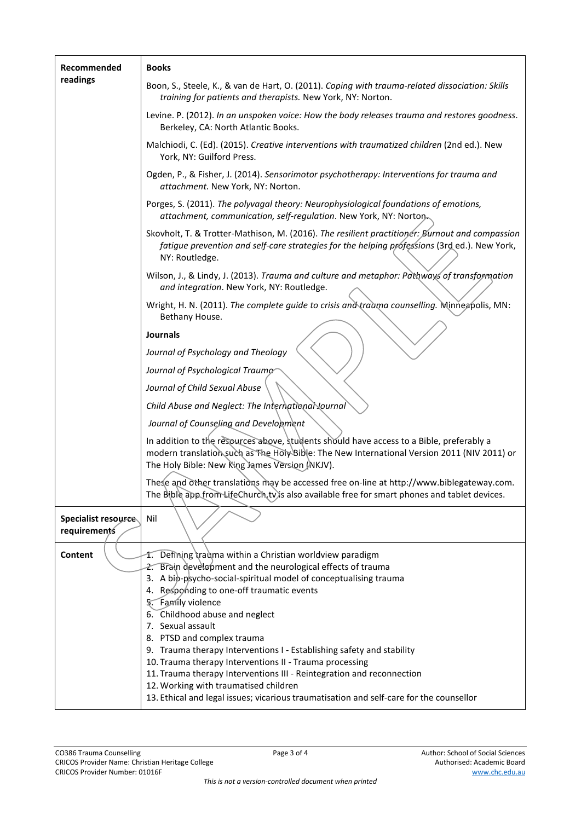| Recommended<br>readings             | <b>Books</b>                                                                                                                                                                                                                                                                                                                                                                                     |
|-------------------------------------|--------------------------------------------------------------------------------------------------------------------------------------------------------------------------------------------------------------------------------------------------------------------------------------------------------------------------------------------------------------------------------------------------|
|                                     | Boon, S., Steele, K., & van de Hart, O. (2011). Coping with trauma-related dissociation: Skills<br>training for patients and therapists. New York, NY: Norton.                                                                                                                                                                                                                                   |
|                                     | Levine. P. (2012). In an unspoken voice: How the body releases trauma and restores goodness.<br>Berkeley, CA: North Atlantic Books.                                                                                                                                                                                                                                                              |
|                                     | Malchiodi, C. (Ed). (2015). Creative interventions with traumatized children (2nd ed.). New<br>York, NY: Guilford Press.                                                                                                                                                                                                                                                                         |
|                                     | Ogden, P., & Fisher, J. (2014). Sensorimotor psychotherapy: Interventions for trauma and<br>attachment. New York, NY: Norton.                                                                                                                                                                                                                                                                    |
|                                     | Porges, S. (2011). The polyvagal theory: Neurophysiological foundations of emotions,<br>attachment, communication, self-regulation. New York, NY: Norton                                                                                                                                                                                                                                         |
|                                     | Skovholt, T. & Trotter-Mathison, M. (2016). The resilient practitioner: Burnout and compassion<br>fatigue prevention and self-care strategies for the helping professions (3rd ed.). New York,<br>NY: Routledge.                                                                                                                                                                                 |
|                                     | Wilson, J., & Lindy, J. (2013). Trauma and culture and metaphor: Pathways of transformation<br>and integration. New York, NY: Routledge.                                                                                                                                                                                                                                                         |
|                                     | Wright, H. N. (2011). The complete guide to crisis and trauma counselling. Minneapolis, MN:<br>Bethany House.                                                                                                                                                                                                                                                                                    |
|                                     | <b>Journals</b>                                                                                                                                                                                                                                                                                                                                                                                  |
|                                     | Journal of Psychology and Theology                                                                                                                                                                                                                                                                                                                                                               |
|                                     | Journal of Psychological Trauma                                                                                                                                                                                                                                                                                                                                                                  |
|                                     | Journal of Child Sexual Abuse                                                                                                                                                                                                                                                                                                                                                                    |
|                                     | Child Abuse and Neglect: The International Journal                                                                                                                                                                                                                                                                                                                                               |
|                                     | Journal of Counseling and Develohment                                                                                                                                                                                                                                                                                                                                                            |
|                                     | In addition to the resources above, students should have access to a Bible, preferably a<br>modern translation such as The Holy Bible: The New International Version 2011 (NIV 2011) or<br>The Holy Bible: New King James Version (NKJV).                                                                                                                                                        |
|                                     | These and other translations may be accessed free on-line at http://www.biblegateway.com.<br>The Bible app from LifeChurch tv)s also available free for smart phones and tablet devices.                                                                                                                                                                                                         |
| Specialist resource<br>requirements | Nil                                                                                                                                                                                                                                                                                                                                                                                              |
| Content                             | 1. Defining trauma within a Christian worldview paradigm<br>Brain development and the neurological effects of trauma<br>3. A bio-psycho-social-spiritual model of conceptualising trauma<br>4. Responding to one-off traumatic events<br>5. Family violence<br>6. Childhood abuse and neglect                                                                                                    |
|                                     | 7. Sexual assault<br>8. PTSD and complex trauma<br>9. Trauma therapy Interventions I - Establishing safety and stability<br>10. Trauma therapy Interventions II - Trauma processing<br>11. Trauma therapy Interventions III - Reintegration and reconnection<br>12. Working with traumatised children<br>13. Ethical and legal issues; vicarious traumatisation and self-care for the counsellor |
|                                     |                                                                                                                                                                                                                                                                                                                                                                                                  |